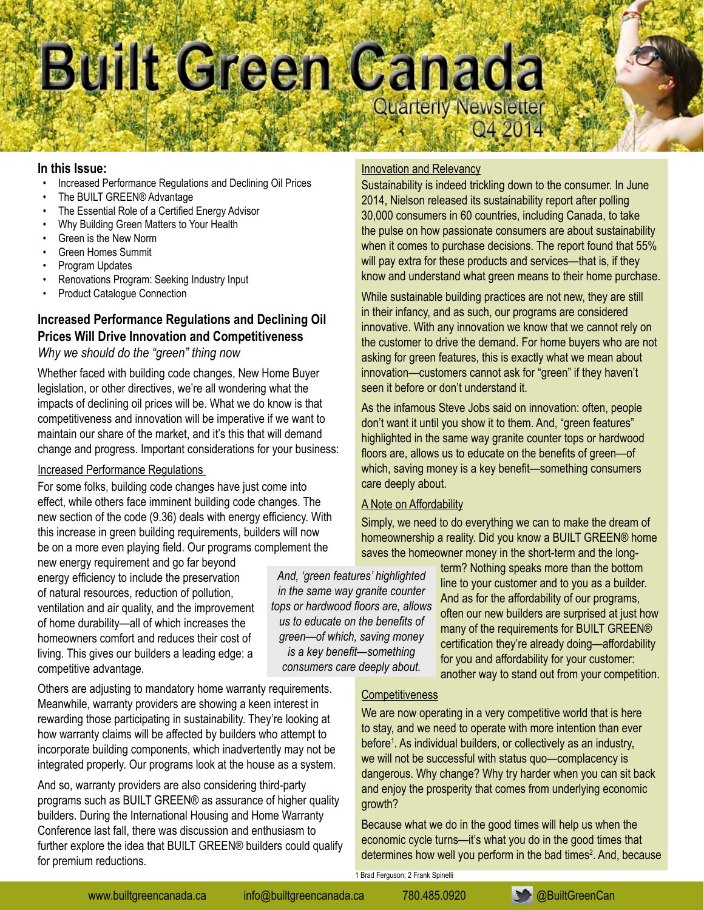# Built Green Canada Quarterly Newsletter O4 20

#### **In this Issue:**

- Increased Performance Regulations and Declining Oil Prices
- The BUILT GREEN® Advantage
- The Essential Role of a Certified Energy Advisor
- Why Building Green Matters to Your Health
- Green is the New Norm
- **Green Homes Summit**
- Program Updates
- Renovations Program: Seeking Industry Input
- Product Catalogue Connection

# **Increased Performance Regulations and Declining Oil Prices Will Drive Innovation and Competitiveness**

#### *Why we should do the "green" thing now*

Whether faced with building code changes, New Home Buyer legislation, or other directives, we're all wondering what the impacts of declining oil prices will be. What we do know is that competitiveness and innovation will be imperative if we want to maintain our share of the market, and it's this that will demand change and progress. Important considerations for your business:

#### Increased Performance Regulations

For some folks, building code changes have just come into effect, while others face imminent building code changes. The new section of the code (9.36) deals with energy efficiency. With this increase in green building requirements, builders will now be on a more even playing field. Our programs complement the

new energy requirement and go far beyond energy efficiency to include the preservation of natural resources, reduction of pollution, ventilation and air quality, and the improvement of home durability—all of which increases the homeowners comfort and reduces their cost of living. This gives our builders a leading edge: a competitive advantage.

Others are adjusting to mandatory home warranty requirements. Meanwhile, warranty providers are showing a keen interest in rewarding those participating in sustainability. They're looking at how warranty claims will be affected by builders who attempt to incorporate building components, which inadvertently may not be integrated properly. Our programs look at the house as a system.

And so, warranty providers are also considering third-party programs such as BUILT GREEN® as assurance of higher quality builders. During the International Housing and Home Warranty Conference last fall, there was discussion and enthusiasm to further explore the idea that BUILT GREEN® builders could qualify for premium reductions.

*And, 'green features' highlighted in the same way granite counter tops or hardwood floors are, allows us to educate on the benefits of green—of which, saving money is a key benefit—something consumers care deeply about.* 

#### Innovation and Relevancy

Sustainability is indeed trickling down to the consumer. In June 2014, Nielson released its sustainability report after polling 30,000 consumers in 60 countries, including Canada, to take the pulse on how passionate consumers are about sustainability when it comes to purchase decisions. The report found that 55% will pay extra for these products and services—that is, if they know and understand what green means to their home purchase.

While sustainable building practices are not new, they are still in their infancy, and as such, our programs are considered innovative. With any innovation we know that we cannot rely on the customer to drive the demand. For home buyers who are not asking for green features, this is exactly what we mean about innovation—customers cannot ask for "green" if they haven't seen it before or don't understand it.

As the infamous Steve Jobs said on innovation: often, people don't want it until you show it to them. And, "green features" highlighted in the same way granite counter tops or hardwood floors are, allows us to educate on the benefits of green—of which, saving money is a key benefit—something consumers care deeply about.

#### A Note on Affordability

Simply, we need to do everything we can to make the dream of homeownership a reality. Did you know a BUILT GREEN® home saves the homeowner money in the short-term and the long-

> term? Nothing speaks more than the bottom line to your customer and to you as a builder. And as for the affordability of our programs, often our new builders are surprised at just how many of the requirements for BUILT GREEN® certification they're already doing—affordability for you and affordability for your customer: another way to stand out from your competition.

#### **Competitiveness**

We are now operating in a very competitive world that is here to stay, and we need to operate with more intention than ever before<sup>1</sup>. As individual builders, or collectively as an industry, we will not be successful with status quo—complacency is dangerous. Why change? Why try harder when you can sit back and enjoy the prosperity that comes from underlying economic growth?

Because what we do in the good times will help us when the economic cycle turns—it's what you do in the good times that determines how well you perform in the bad times<sup>2</sup>. And, because

[www.builtgreencanada.ca](http://builtgreencanada.ca) info@builtgreencanada.ca 780.485.0920 **[@BuiltGreenCan](https://twitter.com/BuiltGreenCan)** 



1 Brad Ferguson; 2 Frank Spinelli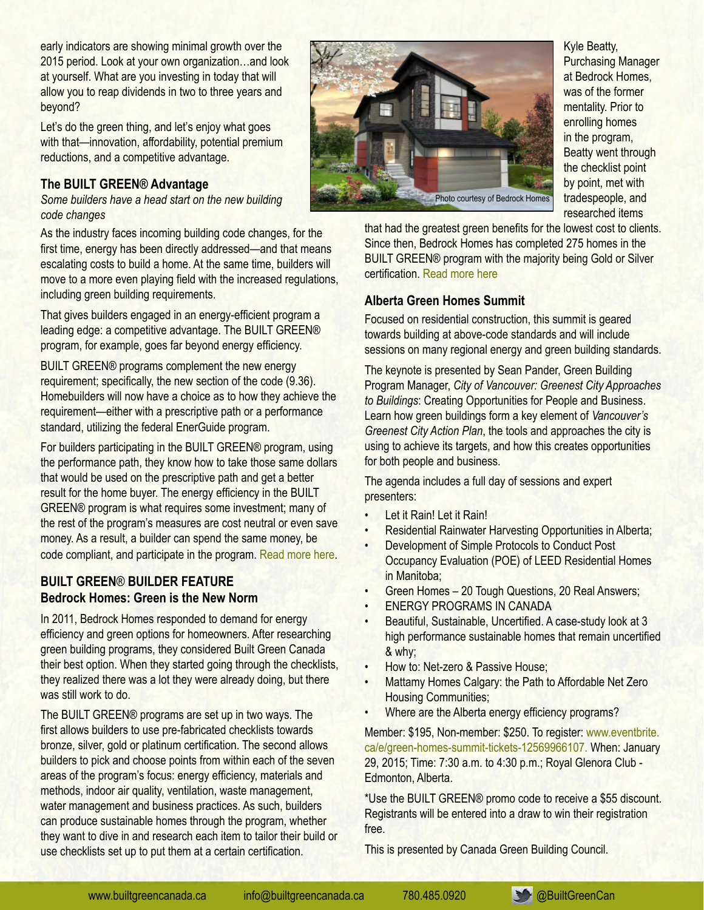early indicators are showing minimal growth over the 2015 period. Look at your own organization…and look at yourself. What are you investing in today that will allow you to reap dividends in two to three years and beyond?

Let's do the green thing, and let's enjoy what goes with that—innovation, affordability, potential premium reductions, and a competitive advantage.

#### **The BUILT GREEN® Advantage**

*Some builders have a head start on the new building code changes*

As the industry faces incoming building code changes, for the first time, energy has been directly addressed—and that means escalating costs to build a home. At the same time, builders will move to a more even playing field with the increased regulations, including green building requirements.

That gives builders engaged in an energy-efficient program a leading edge: a competitive advantage. The BUILT GREEN® program, for example, goes far beyond energy efficiency.

BUILT GREEN® programs complement the new energy requirement; specifically, the new section of the code (9.36). Homebuilders will now have a choice as to how they achieve the requirement—either with a prescriptive path or a performance standard, utilizing the federal EnerGuide program.

For builders participating in the BUILT GREEN® program, using the performance path, they know how to take those same dollars that would be used on the prescriptive path and get a better result for the home buyer. The energy efficiency in the BUILT GREEN® program is what requires some investment; many of the rest of the program's measures are cost neutral or even save money. As a result, a builder can spend the same money, be code compliant, and participate in the program. Read more [here](http://builtgreencanada.ca/the-built-green-advantage?id=1456).

## **BUILT GREEN**® **BUILDER FEATURE Bedrock Homes: Green is the New Norm**

In 2011, Bedrock Homes responded to demand for energy efficiency and green options for homeowners. After researching green building programs, they considered Built Green Canada their best option. When they started going through the checklists, they realized there was a lot they were already doing, but there was still work to do.

The BUILT GREEN® programs are set up in two ways. The first allows builders to use pre-fabricated checklists towards bronze, silver, gold or platinum certification. The second allows builders to pick and choose points from within each of the seven areas of the program's focus: energy efficiency, materials and methods, indoor air quality, ventilation, waste management, water management and business practices. As such, builders can produce sustainable homes through the program, whether they want to dive in and research each item to tailor their build or use checklists set up to put them at a certain certification.



Kyle Beatty, Purchasing Manager at Bedrock Homes, was of the former mentality. Prior to enrolling homes in the program, Beatty went through the checklist point by point, met with tradespeople, and researched items

that had the greatest green benefits for the lowest cost to clients. Since then, Bedrock Homes has completed 275 homes in the BUILT GREEN® program with the majority being Gold or Silver certification. [Read](http://builtgreencanada.ca/bedrock-homes-green-is-the-new-norm?id=1456) more here

## **Alberta Green Homes Summit**

Focused on residential construction, this summit is geared towards building at above-code standards and will include sessions on many regional energy and green building standards.

The keynote is presented by Sean Pander, Green Building Program Manager, *City of Vancouver: Greenest City Approaches to Buildings*: Creating Opportunities for People and Business. Learn how green buildings form a key element of *Vancouver's Greenest City Action Plan*, the tools and approaches the city is using to achieve its targets, and how this creates opportunities for both people and business.

The agenda includes a full day of sessions and expert presenters:

- Let it Rain! Let it Rain!
- Residential Rainwater Harvesting Opportunities in Alberta;
- Development of Simple Protocols to Conduct Post Occupancy Evaluation (POE) of LEED Residential Homes
- in Manitoba; Green Homes – 20 Tough Questions, 20 Real Answers;
- **ENERGY PROGRAMS IN CANADA**
- Beautiful, Sustainable, Uncertified. A case-study look at 3 high performance sustainable homes that remain uncertified & why;
- How to: Net-zero & Passive House:
- Mattamy Homes Calgary: the Path to Affordable Net Zero Housing Communities;
- Where are the Alberta energy efficiency programs?

Member: \$195, Non-member: \$250. To register: [www.eventbrite.](http://www.eventbrite.ca/e/green-homes-summit-tickets-12569966107) [ca/e/green-homes-summit-tickets-12569966107.](http://www.eventbrite.ca/e/green-homes-summit-tickets-12569966107) When: January 29, 2015; Time: 7:30 a.m. to 4:30 p.m.; Royal Glenora Club - Edmonton, Alberta.

\*Use the BUILT GREEN® promo code to receive a \$55 discount. Registrants will be entered into a draw to win their registration free.

This is presented by Canada Green Building Council.

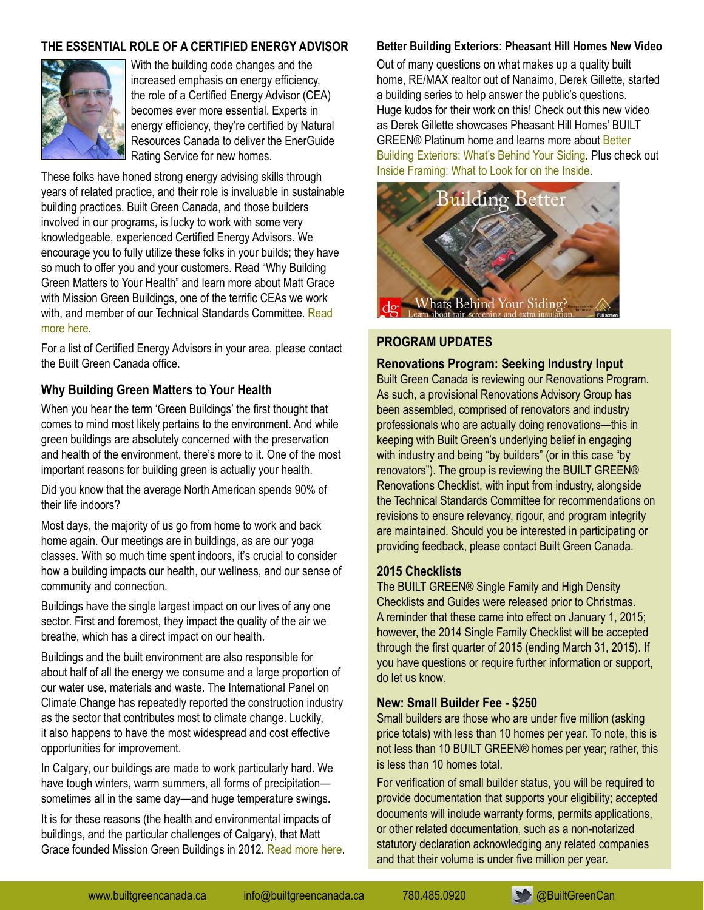## **The Essential Role of a Certified Energy Advisor**



With the building code changes and the increased emphasis on energy efficiency, the role of a Certified Energy Advisor (CEA) becomes ever more essential. Experts in energy efficiency, they're certified by Natural Resources Canada to deliver the EnerGuide Rating Service for new homes.

These folks have honed strong energy advising skills through years of related practice, and their role is invaluable in sustainable building practices. Built Green Canada, and those builders involved in our programs, is lucky to work with some very knowledgeable, experienced Certified Energy Advisors. We encourage you to fully utilize these folks in your builds; they have so much to offer you and your customers. Read "Why Building Green Matters to Your Health" and learn more about Matt Grace with Mission Green Buildings, one of the terrific CEAs we work with, and member of our Technical Standards Committee. [Read](http://www.builtgreencanada.ca/why-building-green-matters-to-your-health?id=1456) [more](http://www.builtgreencanada.ca/why-building-green-matters-to-your-health?id=1456) here.

For a list of Certified Energy Advisors in your area, please contact the Built Green Canada office.

## **Why Building Green Matters to Your Health**

When you hear the term 'Green Buildings' the first thought that comes to mind most likely pertains to the environment. And while green buildings are absolutely concerned with the preservation and health of the environment, there's more to it. One of the most important reasons for building green is actually your health.

Did you know that the average North American spends 90% of their life indoors?

Most days, the majority of us go from home to work and back home again. Our meetings are in buildings, as are our yoga classes. With so much time spent indoors, it's crucial to consider how a building impacts our health, our wellness, and our sense of community and connection.

Buildings have the single largest impact on our lives of any one sector. First and foremost, they impact the quality of the air we breathe, which has a direct impact on our health.

Buildings and the built environment are also responsible for about half of all the energy we consume and a large proportion of our water use, materials and waste. The International Panel on Climate Change has repeatedly reported the construction industry as the sector that contributes most to climate change. Luckily, it also happens to have the most widespread and cost effective opportunities for improvement.

In Calgary, our buildings are made to work particularly hard. We have tough winters, warm summers, all forms of precipitation sometimes all in the same day—and huge temperature swings.

It is for these reasons (the health and environmental impacts of buildings, and the particular challenges of Calgary), that Matt Grace founded Mission Green Buildings in 2012. [Read](http://www.builtgreencanada.ca/why-building-green-matters-to-your-health?id=1456) more here.

#### **Better Building Exteriors: Pheasant Hill Homes New Video**

Out of many questions on what makes up a quality built home, RE/MAX realtor out of Nanaimo, Derek Gillette, started a building series to help answer the public's questions. Huge kudos for their work on this! Check out this new video as Derek Gillette showcases Pheasant Hill Homes' BUILT GREEN® Platinum home and learns more about [Better](http://youtu.be/OBHjSGIfISo) Building [Exteriors:](http://youtu.be/OBHjSGIfISo) What's Behind Your Siding. Plus check out Inside [Framing:](http://youtu.be/kxJbVlJLVTg) What to Look for on the Inside.



## **PROGRAM UPDATES**

**Renovations Program: Seeking Industry Input**

Built Green Canada is reviewing our Renovations Program. As such, a provisional Renovations Advisory Group has been assembled, comprised of renovators and industry professionals who are actually doing renovations—this in keeping with Built Green's underlying belief in engaging with industry and being "by builders" (or in this case "by renovators"). The group is reviewing the BUILT GREEN® Renovations Checklist, with input from industry, alongside the Technical Standards Committee for recommendations on revisions to ensure relevancy, rigour, and program integrity are maintained. Should you be interested in participating or providing feedback, please contact Built Green Canada.

#### **[2015 Checklists](http://builtgreencanada.ca/2015-sf-checklist-consultation)**

The BUILT GREEN® Single Family and High Density Checklists and Guides were released prior to Christmas. A reminder that these came into effect on January 1, 2015; however, the 2014 Single Family Checklist will be accepted through the first quarter of 2015 (ending March 31, 2015). If you have questions or require further information or support, do let us know.

#### **New: Small Builder Fee - \$250**

Small builders are those who are under five million (asking price totals) with less than 10 homes per year. To note, this is not less than 10 BUILT GREEN® homes per year; rather, this is less than 10 homes total.

For verification of small builder status, you will be required to provide documentation that supports your eligibility; accepted documents will include warranty forms, permits applications, or other related documentation, such as a non-notarized statutory declaration acknowledging any related companies and that their volume is under five million per year.